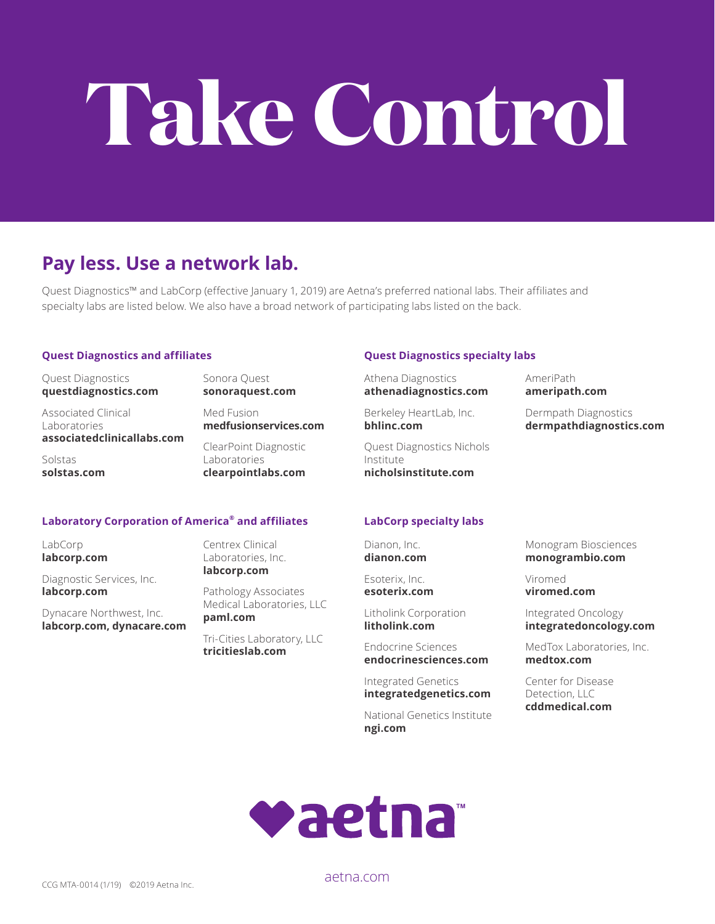# **Take Control**

## **Pay less. Use a network lab.**

Quest Diagnostics™ and LabCorp (effective January 1, 2019) are Aetna's preferred national labs. Their affiliates and specialty labs are listed below. We also have a broad network of participating labs listed on the back.

#### **Quest Diagnostics and affiliates**

Quest Diagnostics **questdiagnostics.com**

Associated Clinical Laboratories **associatedclinicallabs.com**

Solstas **solstas.com**

Sonora Quest **sonoraquest.com**

Med Fusion **medfusionservices.com**

ClearPoint Diagnostic Laboratories **clearpointlabs.com**

#### **Laboratory Corporation of America® and affiliates**

LabCorp **labcorp.com**

Diagnostic Services, Inc. **labcorp.com**

Dynacare Northwest, Inc. **labcorp.com, dynacare.com** Centrex Clinical Laboratories, Inc. **labcorp.com**

Pathology Associates Medical Laboratories, LLC **paml.com**

Tri-Cities Laboratory, LLC **tricitieslab.com**

#### **Quest Diagnostics specialty labs**

Athena Diagnostics **athenadiagnostics.com**

Berkeley HeartLab, Inc. **bhlinc.com**

Quest Diagnostics Nichols Institute **nicholsinstitute.com**

#### **LabCorp specialty labs**

Dianon, Inc. **dianon.com**

Esoterix, Inc. **esoterix.com**

Litholink Corporation **litholink.com** 

Endocrine Sciences **endocrinesciences.com**

Integrated Genetics **integratedgenetics.com**

National Genetics Institute **ngi.com**

**dermpathdiagnostics.com**

Dermpath Diagnostics

AmeriPath **ameripath.com**

Monogram Biosciences **monogrambio.com** 

Viromed **viromed.com**

Integrated Oncology **integratedoncology.com** 

MedTox Laboratories, Inc. **medtox.com**

Center for Disease Detection, LLC **cddmedical.com**



CCG MTA-0014 (1/19) ©2019 Aetna Inc.

aetna.com